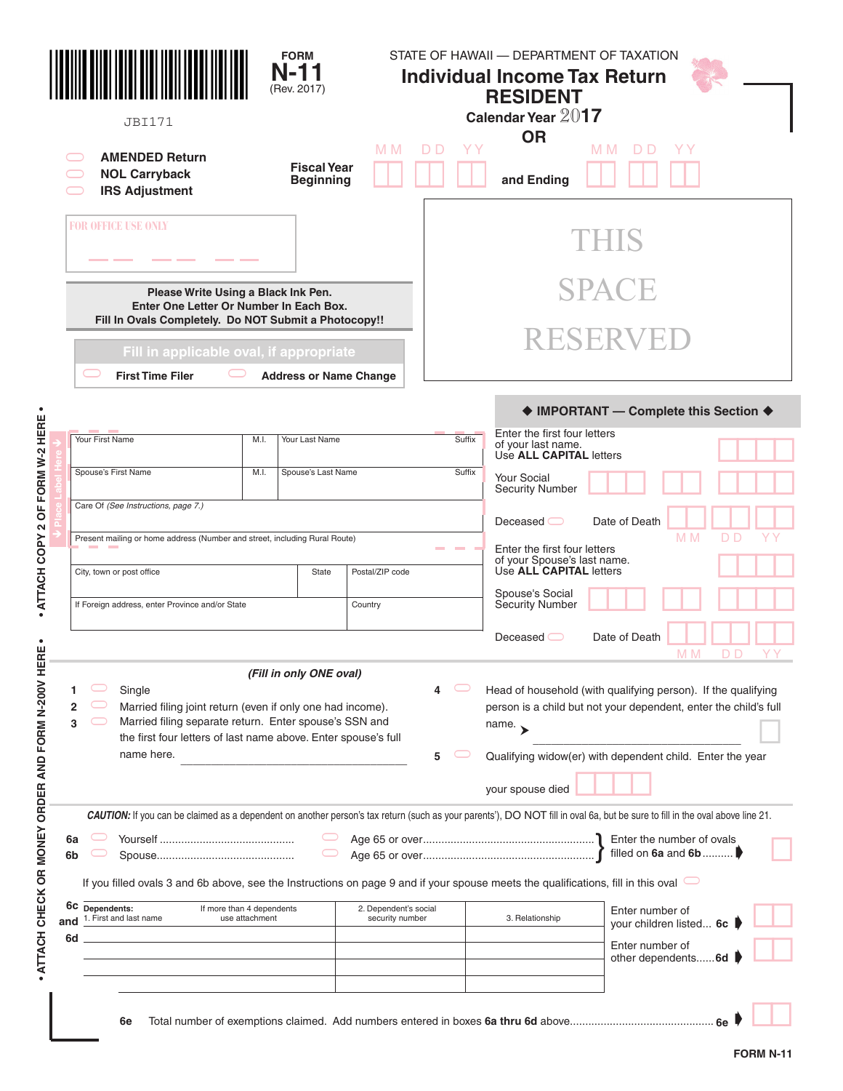|           | <b>JBI171</b>                                                                                                                                                                                                  |                                             | <b>FORM</b><br>$N-11$<br>(Rev. 2017)   |                                          |        | STATE OF HAWAII - DEPARTMENT OF TAXATION<br><b>Individual Income Tax Return</b><br><b>RESIDENT</b><br>Calendar Year 2017 |                                                                                                                                                                                                                                  |  |  |  |
|-----------|----------------------------------------------------------------------------------------------------------------------------------------------------------------------------------------------------------------|---------------------------------------------|----------------------------------------|------------------------------------------|--------|--------------------------------------------------------------------------------------------------------------------------|----------------------------------------------------------------------------------------------------------------------------------------------------------------------------------------------------------------------------------|--|--|--|
|           | <b>AMENDED Return</b><br><b>NOL Carryback</b><br><b>IRS Adjustment</b>                                                                                                                                         |                                             | <b>Fiscal Year</b><br><b>Beginning</b> | M M                                      | D D    | <b>OR</b><br>and Ending                                                                                                  | M M<br>D D                                                                                                                                                                                                                       |  |  |  |
|           | <b>FOR OFFICE USE ONLY</b>                                                                                                                                                                                     |                                             |                                        |                                          |        |                                                                                                                          |                                                                                                                                                                                                                                  |  |  |  |
|           | Please Write Using a Black Ink Pen.<br>Enter One Letter Or Number In Each Box.<br>Fill In Ovals Completely. Do NOT Submit a Photocopy!!                                                                        |                                             |                                        |                                          |        |                                                                                                                          | SPACE                                                                                                                                                                                                                            |  |  |  |
|           | Fill in applicable oval, if appropriate<br><b>First Time Filer</b>                                                                                                                                             |                                             | <b>Address or Name Change</b>          |                                          |        |                                                                                                                          | RESERVED                                                                                                                                                                                                                         |  |  |  |
|           |                                                                                                                                                                                                                |                                             |                                        |                                          |        |                                                                                                                          | ♦ IMPORTANT - Complete this Section ♦                                                                                                                                                                                            |  |  |  |
|           | Your First Name                                                                                                                                                                                                | M.I.                                        | Your Last Name                         |                                          | Suffix | Enter the first four letters<br>of your last name.<br>Use ALL CAPITAL letters                                            |                                                                                                                                                                                                                                  |  |  |  |
|           | Spouse's First Name                                                                                                                                                                                            | M.I.                                        | Spouse's Last Name                     |                                          | Suffix | <b>Your Social</b><br><b>Security Number</b>                                                                             |                                                                                                                                                                                                                                  |  |  |  |
|           | Care Of (See Instructions, page 7.)                                                                                                                                                                            |                                             |                                        |                                          |        | Deceased $\bigcirc$                                                                                                      | Date of Death<br>M <sub>M</sub><br>D D                                                                                                                                                                                           |  |  |  |
|           | Present mailing or home address (Number and street, including Rural Route)                                                                                                                                     |                                             |                                        |                                          |        | Enter the first four letters<br>of your Spouse's last name.                                                              |                                                                                                                                                                                                                                  |  |  |  |
|           | City, town or post office                                                                                                                                                                                      |                                             | State                                  | Postal/ZIP code                          |        | Use ALL CAPITAL letters<br>Spouse's Social                                                                               |                                                                                                                                                                                                                                  |  |  |  |
|           | If Foreign address, enter Province and/or State                                                                                                                                                                |                                             |                                        | Country                                  |        | Security Number                                                                                                          |                                                                                                                                                                                                                                  |  |  |  |
|           |                                                                                                                                                                                                                |                                             |                                        |                                          |        | Deceased $\bigcirc$                                                                                                      | Date of Death<br>M M                                                                                                                                                                                                             |  |  |  |
| 2<br>3    | Single<br>Married filing joint return (even if only one had income).<br>Married filing separate return. Enter spouse's SSN and<br>the first four letters of last name above. Enter spouse's full<br>name here. |                                             | (Fill in only ONE oval)                |                                          | 4<br>5 | name. $\rightarrow$<br>your spouse died                                                                                  | Head of household (with qualifying person). If the qualifying<br>person is a child but not your dependent, enter the child's full<br>Qualifying widow(er) with dependent child. Enter the year                                   |  |  |  |
| 6a<br>6b  | If you filled ovals 3 and 6b above, see the Instructions on page 9 and if your spouse meets the qualifications, fill in this oval                                                                              |                                             | $\smash{\smash{\cup}}$                 |                                          |        |                                                                                                                          | CAUTION: If you can be claimed as a dependent on another person's tax return (such as your parents'), DO NOT fill in oval 6a, but be sure to fill in the oval above line 21.<br>Enter the number of ovals<br>filled on 6a and 6b |  |  |  |
| 6c<br>and | Dependents:<br>1. First and last name                                                                                                                                                                          | If more than 4 dependents<br>use attachment |                                        | 2. Dependent's social<br>security number |        | 3. Relationship                                                                                                          | Enter number of<br>your children listed 6c                                                                                                                                                                                       |  |  |  |
| 6d        |                                                                                                                                                                                                                |                                             |                                        |                                          |        |                                                                                                                          | Enter number of                                                                                                                                                                                                                  |  |  |  |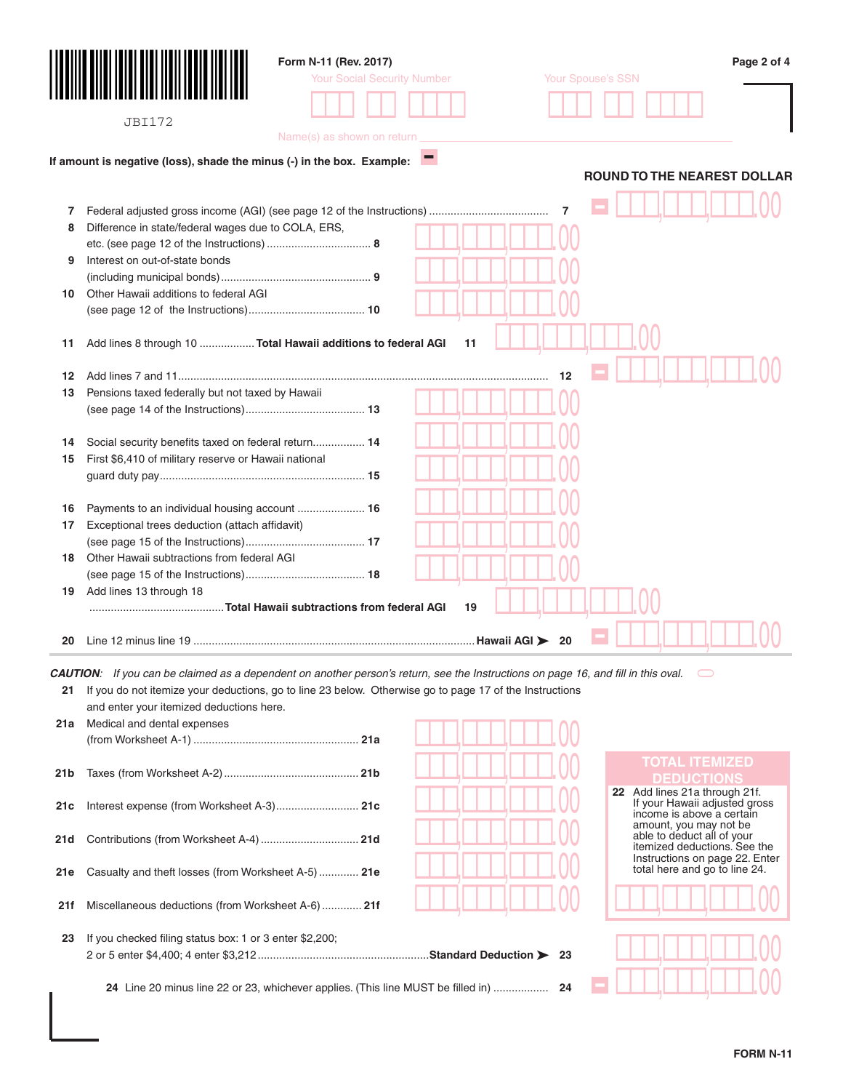|                 |                                                                                                                                          | Form N-11 (Rev. 2017)              |    |                                                                 | Page 2 of 4 |
|-----------------|------------------------------------------------------------------------------------------------------------------------------------------|------------------------------------|----|-----------------------------------------------------------------|-------------|
|                 |                                                                                                                                          | <b>Your Social Security Number</b> |    | Your Spouse's SSN                                               |             |
|                 |                                                                                                                                          |                                    |    |                                                                 |             |
|                 |                                                                                                                                          |                                    |    |                                                                 |             |
|                 | <b>JBI172</b>                                                                                                                            | Name(s) as shown on return         |    |                                                                 |             |
|                 |                                                                                                                                          |                                    |    |                                                                 |             |
|                 | If amount is negative (loss), shade the minus (-) in the box. Example:                                                                   |                                    |    |                                                                 |             |
|                 |                                                                                                                                          |                                    |    | <b>ROUND TO THE NEAREST DOLLAR</b>                              |             |
|                 |                                                                                                                                          |                                    |    |                                                                 |             |
| 7               |                                                                                                                                          |                                    |    | 7                                                               |             |
| 8               | Difference in state/federal wages due to COLA, ERS,                                                                                      |                                    |    |                                                                 |             |
| 9               | Interest on out-of-state bonds                                                                                                           |                                    |    |                                                                 |             |
|                 |                                                                                                                                          |                                    |    |                                                                 |             |
| 10              | Other Hawaii additions to federal AGI                                                                                                    |                                    |    |                                                                 |             |
|                 |                                                                                                                                          |                                    |    |                                                                 |             |
|                 |                                                                                                                                          |                                    |    |                                                                 |             |
| 11              | Add lines 8 through 10  Total Hawaii additions to federal AGI                                                                            |                                    | 11 |                                                                 |             |
|                 |                                                                                                                                          |                                    |    |                                                                 |             |
| 12              |                                                                                                                                          |                                    |    | 12                                                              |             |
| 13              | Pensions taxed federally but not taxed by Hawaii                                                                                         |                                    |    |                                                                 |             |
|                 |                                                                                                                                          |                                    |    |                                                                 |             |
|                 |                                                                                                                                          |                                    |    |                                                                 |             |
| 14              | Social security benefits taxed on federal return 14                                                                                      |                                    |    |                                                                 |             |
| 15              | First \$6,410 of military reserve or Hawaii national                                                                                     |                                    |    |                                                                 |             |
|                 |                                                                                                                                          |                                    |    |                                                                 |             |
|                 |                                                                                                                                          |                                    |    |                                                                 |             |
| 16              | Payments to an individual housing account  16                                                                                            |                                    |    |                                                                 |             |
| 17              | Exceptional trees deduction (attach affidavit)                                                                                           |                                    |    |                                                                 |             |
|                 |                                                                                                                                          |                                    |    |                                                                 |             |
| 18              | Other Hawaii subtractions from federal AGI                                                                                               |                                    |    |                                                                 |             |
| 19              | Add lines 13 through 18                                                                                                                  |                                    |    |                                                                 |             |
|                 |                                                                                                                                          |                                    | 19 |                                                                 |             |
|                 |                                                                                                                                          |                                    |    |                                                                 |             |
| 20              |                                                                                                                                          |                                    |    | 20                                                              |             |
|                 |                                                                                                                                          |                                    |    |                                                                 |             |
|                 | <b>CAUTION:</b> If you can be claimed as a dependent on another person's return, see the Instructions on page 16, and fill in this oval. |                                    |    |                                                                 |             |
| 21              | If you do not itemize your deductions, go to line 23 below. Otherwise go to page 17 of the Instructions                                  |                                    |    |                                                                 |             |
|                 | and enter your itemized deductions here.                                                                                                 |                                    |    |                                                                 |             |
|                 | 21a Medical and dental expenses                                                                                                          |                                    |    |                                                                 |             |
|                 |                                                                                                                                          |                                    |    |                                                                 |             |
|                 |                                                                                                                                          |                                    |    | <b>TOTAL ITEMIZED</b>                                           |             |
| 21 <sub>b</sub> |                                                                                                                                          |                                    |    | <b>DEDUCTIONS</b>                                               |             |
|                 |                                                                                                                                          |                                    |    | 22 Add lines 21a through 21f.<br>If your Hawaii adjusted gross  |             |
| 21c             | Interest expense (from Worksheet A-3) 21c                                                                                                |                                    |    | income is above a certain                                       |             |
|                 | Contributions (from Worksheet A-4)  21d                                                                                                  |                                    |    | amount, you may not be<br>able to deduct all of your            |             |
| 21d             |                                                                                                                                          |                                    |    | itemized deductions. See the                                    |             |
| 21e             | Casualty and theft losses (from Worksheet A-5)  21e                                                                                      |                                    |    | Instructions on page 22. Enter<br>total here and go to line 24. |             |
|                 |                                                                                                                                          |                                    |    |                                                                 |             |
| 21f             | Miscellaneous deductions (from Worksheet A-6)  21f                                                                                       |                                    |    |                                                                 |             |
|                 |                                                                                                                                          |                                    |    |                                                                 |             |
| 23              | If you checked filing status box: 1 or 3 enter \$2,200;                                                                                  |                                    |    |                                                                 |             |
|                 |                                                                                                                                          |                                    |    |                                                                 |             |
|                 |                                                                                                                                          |                                    |    |                                                                 |             |
|                 | 24 Line 20 minus line 22 or 23, whichever applies. (This line MUST be filled in)  24                                                     |                                    |    |                                                                 |             |
|                 |                                                                                                                                          |                                    |    |                                                                 |             |
|                 |                                                                                                                                          |                                    |    |                                                                 |             |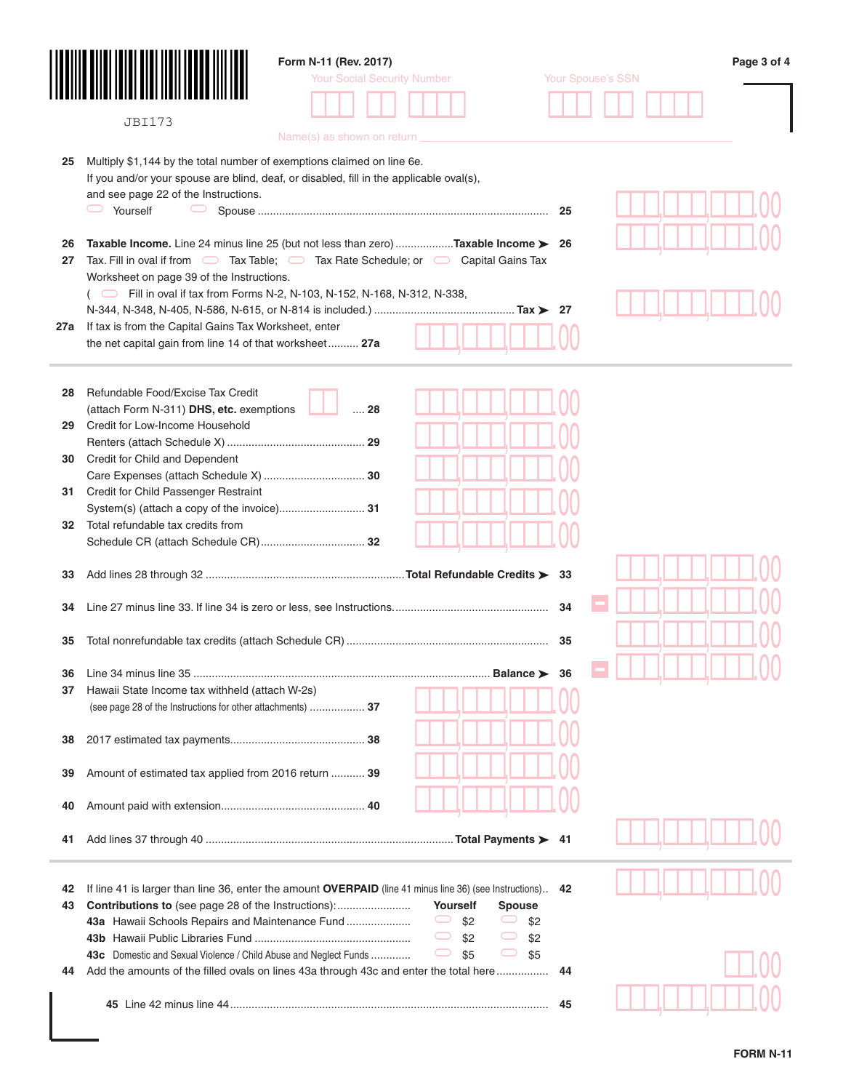|     |                                                                                         | Form N-11 (Rev. 2017)                                                                                   |                          | Page 3 of 4 |
|-----|-----------------------------------------------------------------------------------------|---------------------------------------------------------------------------------------------------------|--------------------------|-------------|
|     |                                                                                         | <b>Your Social Security Number</b>                                                                      | <b>Your Spouse's SSN</b> |             |
|     |                                                                                         |                                                                                                         |                          |             |
|     |                                                                                         |                                                                                                         |                          |             |
|     | <b>JBI173</b>                                                                           | Name(s) as shown on return                                                                              |                          |             |
|     |                                                                                         |                                                                                                         |                          |             |
| 25  | Multiply \$1,144 by the total number of exemptions claimed on line 6e.                  |                                                                                                         |                          |             |
|     | If you and/or your spouse are blind, deaf, or disabled, fill in the applicable oval(s), |                                                                                                         |                          |             |
|     | and see page 22 of the Instructions.                                                    |                                                                                                         |                          |             |
|     | $\Box$ Yourself<br>$\bigcirc$                                                           |                                                                                                         |                          |             |
|     |                                                                                         |                                                                                                         |                          |             |
| 26  |                                                                                         | <b>Taxable Income.</b> Line 24 minus line 25 (but not less than zero) <b>Taxable Income &gt; 26</b>     |                          |             |
| 27  |                                                                                         | Tax. Fill in oval if from $\Box$ Tax Table; $\Box$ Tax Rate Schedule; or $\Box$ Capital Gains Tax       |                          |             |
|     | Worksheet on page 39 of the Instructions.                                               |                                                                                                         |                          |             |
|     | Fill in oval if tax from Forms N-2, N-103, N-152, N-168, N-312, N-338,                  |                                                                                                         |                          |             |
|     |                                                                                         |                                                                                                         |                          |             |
| 27a | If tax is from the Capital Gains Tax Worksheet, enter                                   |                                                                                                         |                          |             |
|     | the net capital gain from line 14 of that worksheet 27a                                 |                                                                                                         |                          |             |
|     |                                                                                         |                                                                                                         |                          |             |
|     |                                                                                         |                                                                                                         |                          |             |
| 28  | Refundable Food/Excise Tax Credit                                                       | $\dots$ 28                                                                                              |                          |             |
| 29  | (attach Form N-311) DHS, etc. exemptions<br>Credit for Low-Income Household             |                                                                                                         |                          |             |
|     |                                                                                         |                                                                                                         |                          |             |
| 30  | Credit for Child and Dependent                                                          |                                                                                                         |                          |             |
|     |                                                                                         |                                                                                                         |                          |             |
| 31  | Credit for Child Passenger Restraint                                                    |                                                                                                         |                          |             |
|     |                                                                                         |                                                                                                         |                          |             |
| 32  | Total refundable tax credits from                                                       |                                                                                                         |                          |             |
|     |                                                                                         |                                                                                                         |                          |             |
|     |                                                                                         |                                                                                                         |                          |             |
| 33  |                                                                                         |                                                                                                         |                          |             |
|     |                                                                                         |                                                                                                         |                          |             |
| 34  |                                                                                         |                                                                                                         | 34                       |             |
|     |                                                                                         |                                                                                                         |                          |             |
| 35  |                                                                                         |                                                                                                         |                          |             |
|     |                                                                                         |                                                                                                         |                          |             |
| 36  |                                                                                         |                                                                                                         |                          |             |
| 37  | Hawaii State Income tax withheld (attach W-2s)                                          |                                                                                                         |                          |             |
|     | (see page 28 of the Instructions for other attachments)  37                             |                                                                                                         |                          |             |
|     |                                                                                         |                                                                                                         |                          |             |
| 38  |                                                                                         |                                                                                                         |                          |             |
|     |                                                                                         |                                                                                                         |                          |             |
| 39  | Amount of estimated tax applied from 2016 return  39                                    |                                                                                                         |                          |             |
| 40  |                                                                                         |                                                                                                         |                          |             |
|     |                                                                                         |                                                                                                         |                          |             |
| 41  |                                                                                         |                                                                                                         |                          |             |
|     |                                                                                         |                                                                                                         |                          |             |
|     |                                                                                         |                                                                                                         |                          |             |
| 42  |                                                                                         | If line 41 is larger than line 36, enter the amount OVERPAID (line 41 minus line 36) (see Instructions) | 42                       |             |
| 43  | <b>Contributions to</b> (see page 28 of the Instructions):                              | Yourself<br><b>Spouse</b>                                                                               |                          |             |
|     | 43a Hawaii Schools Repairs and Maintenance Fund                                         | $\bigcirc$<br>\$2<br>\$2                                                                                |                          |             |
|     |                                                                                         | $\bigcirc$<br>\$2<br>\$2                                                                                |                          |             |
|     | 43c Domestic and Sexual Violence / Child Abuse and Neglect Funds                        | $\bigcirc$<br>\$5<br>\$5                                                                                |                          |             |
| 44  |                                                                                         | Add the amounts of the filled ovals on lines 43a through 43c and enter the total here                   | 44                       |             |
|     |                                                                                         |                                                                                                         |                          |             |
|     |                                                                                         |                                                                                                         | 45                       |             |
|     |                                                                                         |                                                                                                         |                          |             |
|     |                                                                                         |                                                                                                         |                          |             |